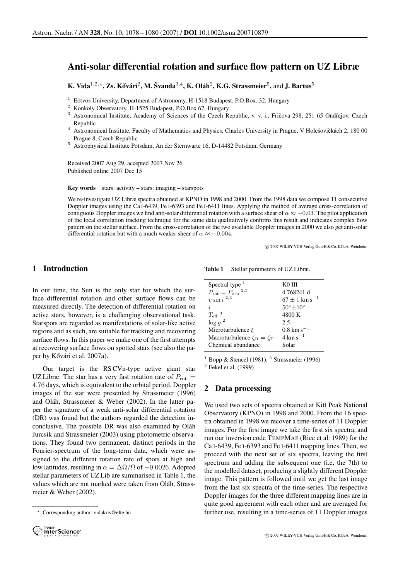# **Anti-solar differential rotation and surface flow pattern on UZ Libræ**

**K. Vida**<sup>1,2,\*</sup>, Zs. Kővári<sup>2</sup>, M. Švanda<sup>3,4</sup>, K. Oláh<sup>2</sup>, K.G. Strassmeier<sup>5</sup>, and J. Bartus<sup>5</sup>

- 
- <sup>1</sup> Eötvös University, Department of Astronomy, H-1518 Budapest, P.O.Box. 32, Hungary<br><sup>2</sup> Konkoly Observatory, H-1525 Budapest, P.O.Box 67, Hungary<br><sup>3</sup> Astronomical Institute, Academy of Sciences of the Czech Republic, v. Republic<br><sup>4</sup> Astronomical Institute, Faculty of Mathematics and Physics, Charles University in Prague, V Holešovičkách 2, 180 00
- Prague 8, Czech Republic 5 Astrophysical Institute Potsdam, An der Sternwarte 16, D-14482 Potsdam, Germany

Received 2007 Aug 29, accepted 2007 Nov 26 Published online 2007 Dec 15

**Key words** stars: activity – stars: imaging – starspots

We re-investigate UZ Libræ spectra obtained at KPNO in 1998 and 2000. From the 1998 data we compose 11 consecutive Doppler images using the Ca I-6439, Fe I-6393 and Fe I-6411 lines. Applying the method of average cross-correlation of contiguous Doppler images we find anti-solar differential rotation with a surface shear of  $\alpha \approx -0.03$ . The pilot application of the local correlation tracking technique for the same data qualitatively confirms this result and indicates complex flow pattern on the stellar surface. From the cross-correlation of the two available Doppler images in 2000 we also get anti-solar differential rotation but with a much weaker shear of  $\alpha \approx -0.004$ .

c 2007 WILEY-VCH Verlag GmbH & Co. KGaA, Weinheim

## **1 Introduction**

In our time, the Sun is the only star for which the surface differential rotation and other surface flows can be measured directly. The detection of differential rotation on active stars, however, is a challenging observational task. Starspots are regarded as manifestations of solar-like active regions and as such, are suitable for tracking and recovering surface flows. In this paper we make one of the first attempts at recovering surface flows on spotted stars (see also the paper by Kővári et al. 2007a).

Our target is the RS CVn-type active giant star UZ Libræ. The star has a very fast rotation rate of  $P_{\text{rot}} =$ 4.76 days, which is equivalent to the orbital period. Doppler images of the star were presented by Strassmeier (1996) and Oláh, Strassmeier & Weber (2002). In the latter paper the signature of a weak anti-solar differential rotation (DR) was found but the authors regarded the detection inconclusive. The possible DR was also examined by Oláh Jurcsik and Strassmeier (2003) using photometric observations. They found two permanent, distinct periods in the Fourier-spectrum of the long-term data, which were assigned to the different rotation rate of spots at high and low latitudes, resulting in  $\alpha = \Delta\Omega/\Omega$  of  $-0.0026$ . Adopted stellar parameters of UZ Lib are summarised in Table 1, the values which are not marked were taken from Oláh, Strassmeier & Weber (2002).

Corresponding author: vidakris@elte.hu



**Table 1** Stellar parameters of UZ Libræ.

| Spectral type $1$                   | K0 III                        |
|-------------------------------------|-------------------------------|
| $P_{\rm rot} = P_{\rm orb}{}^{2,3}$ | 4.768241 d                    |
| $v \sin i^{2,3}$                    | $67 \pm 1$ km s <sup>-1</sup> |
| $\dot{i}$                           | $50^{\circ}$ $\pm 10^{\circ}$ |
| $T_{\rm eff}$ <sup>3</sup>          | 4800 K                        |
| $\log g^2$                          | 2.5                           |
| Microturbulence $\xi$               | $0.8 \text{ km s}^{-1}$       |
| Macroturbulence $\zeta_R = \zeta_T$ | $4 \mathrm{km \, s}^{-1}$     |
| Chemical abundance                  | Solar                         |

<sup>1</sup> Bopp & Stencel (1981), <sup>2</sup> Strassmeier (1996)<sup>3</sup> Fekel et al. (1999)

## **2 Data processing**

We used two sets of spectra obtained at Kitt Peak National Observatory (KPNO) in 1998 and 2000. From the 16 spectra obtained in 1998 we recover a time-series of 11 Doppler images. For the first image we take the first six spectra, and run our inversion code TEMPMAP (Rice et al. 1989) for the Ca I-6439, Fe I-6393 and Fe I-6411 mapping lines. Then, we proceed with the next set of six spectra, leaving the first spectrum and adding the subsequent one (i.e, the 7th) to the modelled dataset, producing a slightly different Doppler image. This pattern is followed until we get the last image from the last six spectra of the time-series. The respective Doppler images for the three different mapping lines are in quite good agreement with each other and are averaged for further use, resulting in a time-series of 11 Doppler images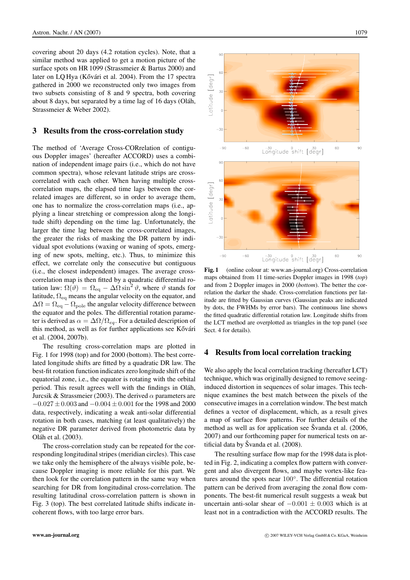covering about 20 days (4.2 rotation cycles). Note, that a similar method was applied to get a motion picture of the surface spots on HR 1099 (Strassmeier & Bartus 2000) and later on LQ Hya (Kővári et al. 2004). From the 17 spectra gathered in 2000 we reconstructed only two images from two subsets consisting of 8 and 9 spectra, both covering about 8 days, but separated by a time lag of 16 days (Oláh, Strassmeier & Weber 2002).

#### **3 Results from the cross-correlation study**

The method of 'Average Cross-CORrelation of contiguous Doppler images' (hereafter ACCORD) uses a combination of independent image pairs (i.e., which do not have common spectra), whose relevant latitude strips are crosscorrelated with each other. When having multiple crosscorrelation maps, the elapsed time lags between the correlated images are different, so in order to average them, one has to normalize the cross-correlation maps (i.e., applying a linear stretching or compression along the longitude shift) depending on the time lag. Unfortunately, the larger the time lag between the cross-correlated images, the greater the risks of masking the DR pattern by individual spot evolutions (waxing or waning of spots, emerging of new spots, melting, etc.). Thus, to minimize this effect, we correlate only the consecutive but contiguous (i.e., the closest independent) images. The average crosscorrelation map is then fitted by a quadratic differential rotation law:  $\Omega(\vartheta) = \Omega_{\text{eq}} - \Delta\Omega \sin^2 \vartheta$ , where  $\vartheta$  stands for latitude,  $\Omega_{\text{eq}}$  means the angular velocity on the equator, and  $\Delta\Omega = \Omega_{\text{eq}} - \Omega_{\text{pole}}$  the angular velocity difference between the equator and the poles. The differential rotation parameter is derived as  $\alpha = \Delta\Omega/\Omega_{eq}$ . For a detailed description of this method, as well as for further applications see Kővári et al. (2004, 2007b).

The resulting cross-correlation maps are plotted in Fig. 1 for 1998 (top) and for 2000 (bottom). The best correlated longitude shifts are fitted by a quadratic DR law. The best-fit rotation function indicates zero longitude shift of the equatorial zone, i.e., the equator is rotating with the orbital period. This result agrees well with the findings in Oláh, Jurcsik & Strassmeier (2003). The derived  $\alpha$  parameters are  $-0.027 \pm 0.003$  and  $-0.004 \pm 0.001$  for the 1998 and 2000 data, respectively, indicating a weak anti-solar differential rotation in both cases, matching (at least qualitatively) the negative DR parameter derived from photometric data by Oláh et al. (2003).

The cross-correlation study can be repeated for the corresponding longitudinal stripes (meridian circles). This case we take only the hemisphere of the always visible pole, because Doppler imaging is more reliable for this part. We then look for the correlation pattern in the same way when searching for DR from longitudinal cross-correlation. The resulting latitudinal cross-correlation pattern is shown in Fig. 3 (top). The best correlated latitude shifts indicate incoherent flows, with too large error bars.



**Fig. 1** (online colour at: www.an-journal.org) Cross-correlation maps obtained from 11 time-series Doppler images in 1998 (*top*) and from 2 Doppler images in 2000 (*bottom*). The better the correlation the darker the shade. Cross-correlation functions per latitude are fitted by Gaussian curves (Gaussian peaks are indicated by dots, the FWHMs by error bars). The continuous line shows the fitted quadratic differential rotation law. Longitude shifts from the LCT method are overplotted as triangles in the top panel (see Sect. 4 for details).

### **4 Results from local correlation tracking**

We also apply the local correlation tracking (hereafter LCT) technique, which was originally designed to remove seeinginduced distortion in sequences of solar images. This technique examines the best match between the pixels of the consecutive images in a correlation window. The best match defines a vector of displacement, which, as a result gives a map of surface flow patterns. For further details of the method as well as for application see Svanda et al.  $(2006,$ 2007) and our forthcoming paper for numerical tests on artificial data by Švanda et al.  $(2008)$ .

The resulting surface flow map for the 1998 data is plotted in Fig. 2, indicating a complex flow pattern with convergent and also divergent flows, and maybe vortex-like features around the spots near 100◦. The differential rotation pattern can be derived from averaging the zonal flow components. The best-fit numerical result suggests a weak but uncertain anti-solar shear of  $-0.001 \pm 0.003$  which is at least not in a contradiction with the ACCORD results. The